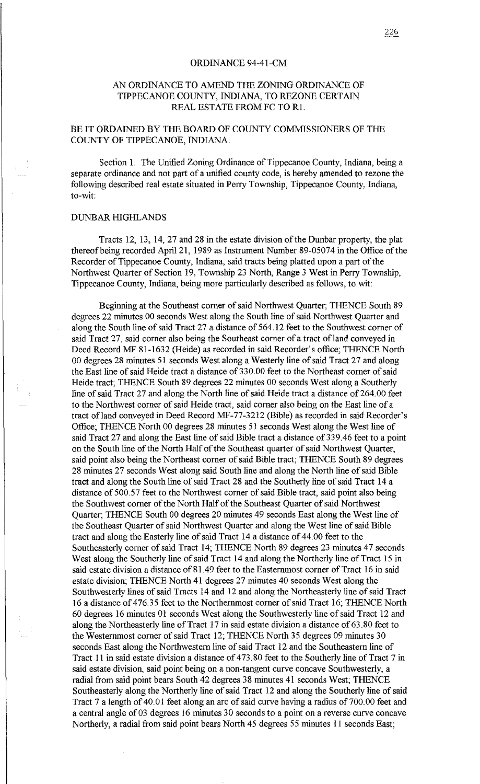## ORDINANCE 94-41-CM

## AN ORDINANCE TO AMEND THE ZONING ORDINANCE OF TIPPECANOE COUNTY, INDIANA, TO REZONE CERTAIN REAL ESTATE FROM FC TO Rl.

## BE IT ORDAINED BY THE BOARD OF COUNTY COMMISSIONERS OF THE COUNTY OF TIPPECANOE, INDIANA:

Section 1. The Unified Zoning Ordinance of Tippecanoe County, Indiana, being a separate ordinance and not part of a unified county code, is hereby amended to rezone the following described real estate situated in Perry Township, Tippecanoe County, Indiana, to-wit:

## DUNBAR HIGHLANDS

Tracts 12, 13, 14, 27 and 28 in the estate division of the Dunbar property, the plat thereofbeing recorded April 21, 1989 as Instrument Number 89-05074 in the Office of the Recorder of Tippecanoe County, Indiana, said tracts being platted upon a part of the Northwest Quarter of Section 19, Township 23 North, Range 3 West in Perry Township, Tippecanoe County, Indiana, being more particularly described as follows, to wit:

Beginning at the Southeast comer of said Northwest Quarter; THENCE South 89 degrees 22 minutes 00 seconds West along the South line of said Northwest Quarter and along the South line of said Tract 27 a distance of 564.12 feet to the Southwest comer of said Tract 27, said corner also being the Southeast corner of a tract of land conveyed in Deed Record MF 81-1632 (Heide) as recorded in said Recorder's office; THENCE North 00 degrees 28 minutes 51 seconds West along a Westerly line of said Tract 27 and along the East line of said Heide tract a distance of 330.00 feet to the Northeast corner of said Heide tract; THENCE South 89 degrees 22 minutes 00 seconds West along a Southerly line of said Tract 27 and along the North line of said Heide tract a distance of 264.00 feet to the Northwest corner of said Heide tract, said corner also being on the East line of a tract of land conveyed in Deed Record MF-77-3212 (Bible) as recorded in said Recorder's Office; THENCE North 00 degrees 28 minutes 51 seconds West along the West line of said Tract 27 and along the East line of said Bible tract a distance of 339.46 feet to a point on the South line of the North Half of the Southeast quarter of said Northwest Quarter, said point also being the Northeast corner of said Bible tract; THENCE South 89 degrees 28 minutes 27 seconds West along said South line and along the North line of said Bible tract and along the South line of said Tract 28 and the Southerly line of said Tract 14 a distance of 500.57 feet to the Northwest corner of said Bible tract, said point also being the Southwest comer of the North Half of the Southeast Quarter of said Northwest Quarter; THENCE South 00 degrees 20 minutes 49 seconds East along the West line of the Southeast Quarter of said Northwest Quarter and along the West line of said Bible tract and along the Easterly line of said Tract 14 a distance of 44. 00 feet to the Southeasterly corner of said Tract 14; THENCE North 89 degrees 23 minutes 47 seconds West along the Southerly line of said Tract 14 and along the Northerly line of Tract 15 in said estate division a distance of 81.49 feet to the Easternmost corner of Tract 16 in said estate division; THENCE North 41 degrees 27 minutes 40 seconds West along the Southwesterly lines of said Tracts 14 and 12 and along the Northeasterly line of said Tract 16 a distance of 476.35 feet to the Northernmost corner of said Tract 16; THENCE North 60 degrees 16 minutes 01 seconds West along the Southwesterly line of said Tract 12 and along the Northeasterly line of Tract 17 in said estate division a distance of 63.80 feet to the Westernmost corner of said Tract 12; THENCE North 35 degrees 09 minutes 30 seconds East along the Northwestern line of said Tract 12 and the Southeastern line of Tract 11 in said estate division a distance of 4 73. 80 feet to the Southerly line of Tract 7 in said estate division, said point being on a non-tangent curve concave Southwesterly, a radial from said point bears South 42 degrees 38 minutes 41 seconds West; THENCE Southeasterly along the Northerly line of said Tract 12 and along the Southerly line of said Tract 7 a length of 40.01 feet along an arc of said curve having a radius of 700.00 feet and a central angle of 03 degrees 16 minutes 30 seconds to a point on a reverse curve concave Northerly, a radial from said point bears North 45 degrees 55 minutes 11 seconds East;